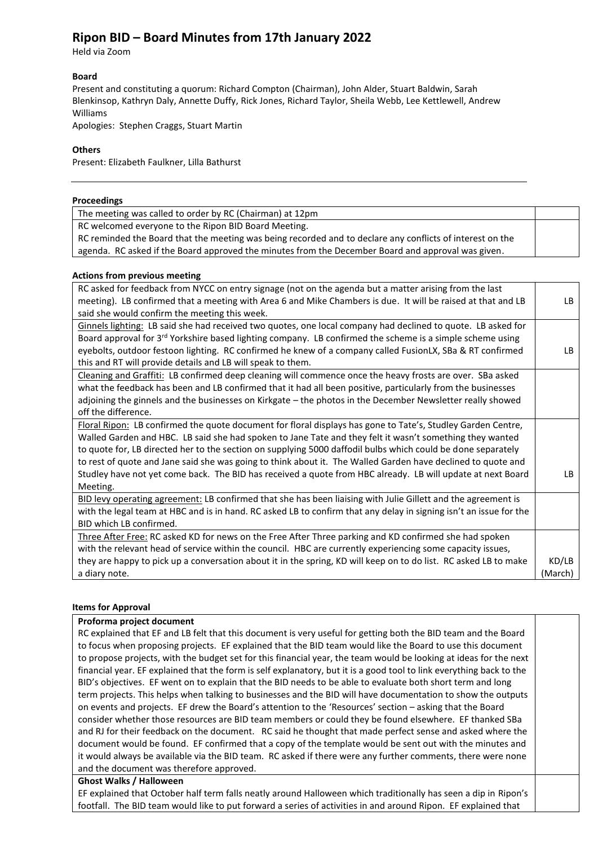# **Ripon BID – Board Minutes from 17th January 2022**

Held via Zoom

### **Board**

Present and constituting a quorum: Richard Compton (Chairman), John Alder, Stuart Baldwin, Sarah Blenkinsop, Kathryn Daly, Annette Duffy, Rick Jones, Richard Taylor, Sheila Webb, Lee Kettlewell, Andrew Williams

Apologies: Stephen Craggs, Stuart Martin

### **Others**

Present: Elizabeth Faulkner, Lilla Bathurst

| Proceedings                                                                                               |  |
|-----------------------------------------------------------------------------------------------------------|--|
| The meeting was called to order by RC (Chairman) at 12pm                                                  |  |
| RC welcomed everyone to the Ripon BID Board Meeting.                                                      |  |
| RC reminded the Board that the meeting was being recorded and to declare any conflicts of interest on the |  |
| agenda. RC asked if the Board approved the minutes from the December Board and approval was given.        |  |

### **Actions from previous meeting**

| RC asked for feedback from NYCC on entry signage (not on the agenda but a matter arising from the last                |         |
|-----------------------------------------------------------------------------------------------------------------------|---------|
| meeting). LB confirmed that a meeting with Area 6 and Mike Chambers is due. It will be raised at that and LB          | LB.     |
| said she would confirm the meeting this week.                                                                         |         |
| Ginnels lighting: LB said she had received two quotes, one local company had declined to quote. LB asked for          |         |
| Board approval for 3 <sup>rd</sup> Yorkshire based lighting company. LB confirmed the scheme is a simple scheme using |         |
| eyebolts, outdoor festoon lighting. RC confirmed he knew of a company called FusionLX, SBa & RT confirmed             | LB.     |
| this and RT will provide details and LB will speak to them.                                                           |         |
| Cleaning and Graffiti: LB confirmed deep cleaning will commence once the heavy frosts are over. SBa asked             |         |
| what the feedback has been and LB confirmed that it had all been positive, particularly from the businesses           |         |
| adjoining the ginnels and the businesses on Kirkgate - the photos in the December Newsletter really showed            |         |
| off the difference.                                                                                                   |         |
| Floral Ripon: LB confirmed the quote document for floral displays has gone to Tate's, Studley Garden Centre,          |         |
| Walled Garden and HBC. LB said she had spoken to Jane Tate and they felt it wasn't something they wanted              |         |
| to quote for, LB directed her to the section on supplying 5000 daffodil bulbs which could be done separately          |         |
| to rest of quote and Jane said she was going to think about it. The Walled Garden have declined to quote and          |         |
| Studley have not yet come back. The BID has received a quote from HBC already. LB will update at next Board           | LB.     |
| Meeting.                                                                                                              |         |
| BID levy operating agreement: LB confirmed that she has been liaising with Julie Gillett and the agreement is         |         |
| with the legal team at HBC and is in hand. RC asked LB to confirm that any delay in signing isn't an issue for the    |         |
| BID which LB confirmed.                                                                                               |         |
| Three After Free: RC asked KD for news on the Free After Three parking and KD confirmed she had spoken                |         |
| with the relevant head of service within the council. HBC are currently experiencing some capacity issues,            |         |
| they are happy to pick up a conversation about it in the spring, KD will keep on to do list. RC asked LB to make      | KD/LB   |
| a diary note.                                                                                                         | (March) |
|                                                                                                                       |         |

### **Items for Approval**

### **Proforma project document**

RC explained that EF and LB felt that this document is very useful for getting both the BID team and the Board to focus when proposing projects. EF explained that the BID team would like the Board to use this document to propose projects, with the budget set for this financial year, the team would be looking at ideas for the next financial year. EF explained that the form is self explanatory, but it is a good tool to link everything back to the BID's objectives. EF went on to explain that the BID needs to be able to evaluate both short term and long term projects. This helps when talking to businesses and the BID will have documentation to show the outputs on events and projects. EF drew the Board's attention to the 'Resources' section – asking that the Board consider whether those resources are BID team members or could they be found elsewhere. EF thanked SBa and RJ for their feedback on the document. RC said he thought that made perfect sense and asked where the document would be found. EF confirmed that a copy of the template would be sent out with the minutes and it would always be available via the BID team. RC asked if there were any further comments, there were none and the document was therefore approved.

## **Ghost Walks / Halloween**

EF explained that October half term falls neatly around Halloween which traditionally has seen a dip in Ripon's footfall. The BID team would like to put forward a series of activities in and around Ripon. EF explained that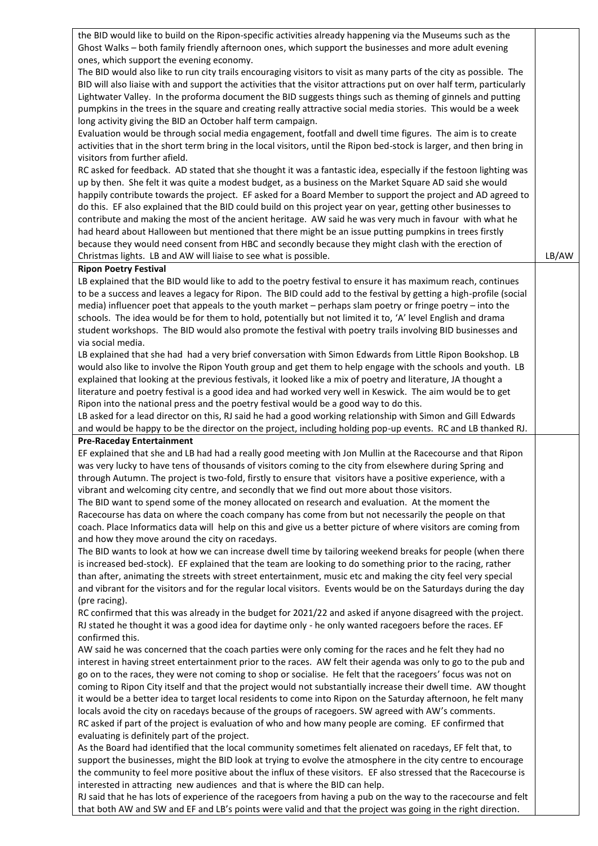| the BID would like to build on the Ripon-specific activities already happening via the Museums such as the            |       |
|-----------------------------------------------------------------------------------------------------------------------|-------|
| Ghost Walks - both family friendly afternoon ones, which support the businesses and more adult evening                |       |
| ones, which support the evening economy.                                                                              |       |
| The BID would also like to run city trails encouraging visitors to visit as many parts of the city as possible. The   |       |
| BID will also liaise with and support the activities that the visitor attractions put on over half term, particularly |       |
|                                                                                                                       |       |
| Lightwater Valley. In the proforma document the BID suggests things such as theming of ginnels and putting            |       |
| pumpkins in the trees in the square and creating really attractive social media stories. This would be a week         |       |
| long activity giving the BID an October half term campaign.                                                           |       |
| Evaluation would be through social media engagement, footfall and dwell time figures. The aim is to create            |       |
| activities that in the short term bring in the local visitors, until the Ripon bed-stock is larger, and then bring in |       |
| visitors from further afield.                                                                                         |       |
| RC asked for feedback. AD stated that she thought it was a fantastic idea, especially if the festoon lighting was     |       |
| up by then. She felt it was quite a modest budget, as a business on the Market Square AD said she would               |       |
| happily contribute towards the project. EF asked for a Board Member to support the project and AD agreed to           |       |
| do this. EF also explained that the BID could build on this project year on year, getting other businesses to         |       |
| contribute and making the most of the ancient heritage. AW said he was very much in favour with what he               |       |
|                                                                                                                       |       |
| had heard about Halloween but mentioned that there might be an issue putting pumpkins in trees firstly                |       |
| because they would need consent from HBC and secondly because they might clash with the erection of                   |       |
| Christmas lights. LB and AW will liaise to see what is possible.                                                      | LB/AW |
| <b>Ripon Poetry Festival</b>                                                                                          |       |
| LB explained that the BID would like to add to the poetry festival to ensure it has maximum reach, continues          |       |
| to be a success and leaves a legacy for Ripon. The BID could add to the festival by getting a high-profile (social    |       |
| media) influencer poet that appeals to the youth market - perhaps slam poetry or fringe poetry - into the             |       |
| schools. The idea would be for them to hold, potentially but not limited it to, 'A' level English and drama           |       |
| student workshops. The BID would also promote the festival with poetry trails involving BID businesses and            |       |
| via social media.                                                                                                     |       |
| LB explained that she had had a very brief conversation with Simon Edwards from Little Ripon Bookshop. LB             |       |
| would also like to involve the Ripon Youth group and get them to help engage with the schools and youth. LB           |       |
|                                                                                                                       |       |
| explained that looking at the previous festivals, it looked like a mix of poetry and literature, JA thought a         |       |
| literature and poetry festival is a good idea and had worked very well in Keswick. The aim would be to get            |       |
| Ripon into the national press and the poetry festival would be a good way to do this.                                 |       |
| LB asked for a lead director on this, RJ said he had a good working relationship with Simon and Gill Edwards          |       |
| and would be happy to be the director on the project, including holding pop-up events. RC and LB thanked RJ.          |       |
| <b>Pre-Raceday Entertainment</b>                                                                                      |       |
| EF explained that she and LB had had a really good meeting with Jon Mullin at the Racecourse and that Ripon           |       |
| was very lucky to have tens of thousands of visitors coming to the city from elsewhere during Spring and              |       |
| through Autumn. The project is two-fold, firstly to ensure that visitors have a positive experience, with a           |       |
| vibrant and welcoming city centre, and secondly that we find out more about those visitors.                           |       |
| The BID want to spend some of the money allocated on research and evaluation. At the moment the                       |       |
| Racecourse has data on where the coach company has come from but not necessarily the people on that                   |       |
|                                                                                                                       |       |
| coach. Place Informatics data will help on this and give us a better picture of where visitors are coming from        |       |
| and how they move around the city on racedays.                                                                        |       |
| The BID wants to look at how we can increase dwell time by tailoring weekend breaks for people (when there            |       |
| is increased bed-stock). EF explained that the team are looking to do something prior to the racing, rather           |       |
| than after, animating the streets with street entertainment, music etc and making the city feel very special          |       |
| and vibrant for the visitors and for the regular local visitors. Events would be on the Saturdays during the day      |       |
| (pre racing).                                                                                                         |       |
| RC confirmed that this was already in the budget for 2021/22 and asked if anyone disagreed with the project.          |       |
| RJ stated he thought it was a good idea for daytime only - he only wanted racegoers before the races. EF              |       |
| confirmed this.                                                                                                       |       |
| AW said he was concerned that the coach parties were only coming for the races and he felt they had no                |       |
|                                                                                                                       |       |
| interest in having street entertainment prior to the races. AW felt their agenda was only to go to the pub and        |       |
| go on to the races, they were not coming to shop or socialise. He felt that the racegoers' focus was not on           |       |
| coming to Ripon City itself and that the project would not substantially increase their dwell time. AW thought        |       |
| it would be a better idea to target local residents to come into Ripon on the Saturday afternoon, he felt many        |       |
| locals avoid the city on racedays because of the groups of racegoers. SW agreed with AW's comments.                   |       |
| RC asked if part of the project is evaluation of who and how many people are coming. EF confirmed that                |       |
| evaluating is definitely part of the project.                                                                         |       |
| As the Board had identified that the local community sometimes felt alienated on racedays, EF felt that, to           |       |
| support the businesses, might the BID look at trying to evolve the atmosphere in the city centre to encourage         |       |
| the community to feel more positive about the influx of these visitors. EF also stressed that the Racecourse is       |       |
| interested in attracting new audiences and that is where the BID can help.                                            |       |
|                                                                                                                       |       |

RJ said that he has lots of experience of the racegoers from having a pub on the way to the racecourse and felt that both AW and SW and EF and LB's points were valid and that the project was going in the right direction.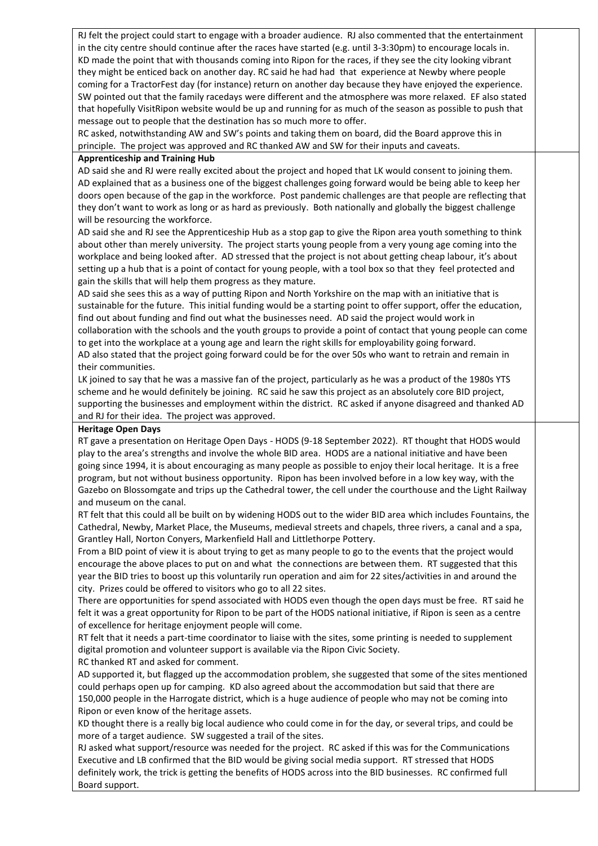RJ felt the project could start to engage with a broader audience. RJ also commented that the entertainment in the city centre should continue after the races have started (e.g. until 3-3:30pm) to encourage locals in. KD made the point that with thousands coming into Ripon for the races, if they see the city looking vibrant they might be enticed back on another day. RC said he had had that experience at Newby where people coming for a TractorFest day (for instance) return on another day because they have enjoyed the experience. SW pointed out that the family racedays were different and the atmosphere was more relaxed. EF also stated that hopefully VisitRipon website would be up and running for as much of the season as possible to push that message out to people that the destination has so much more to offer.

RC asked, notwithstanding AW and SW's points and taking them on board, did the Board approve this in principle. The project was approved and RC thanked AW and SW for their inputs and caveats.

#### **Apprenticeship and Training Hub**

AD said she and RJ were really excited about the project and hoped that LK would consent to joining them. AD explained that as a business one of the biggest challenges going forward would be being able to keep her doors open because of the gap in the workforce. Post pandemic challenges are that people are reflecting that they don't want to work as long or as hard as previously. Both nationally and globally the biggest challenge will be resourcing the workforce.

AD said she and RJ see the Apprenticeship Hub as a stop gap to give the Ripon area youth something to think about other than merely university. The project starts young people from a very young age coming into the workplace and being looked after. AD stressed that the project is not about getting cheap labour, it's about setting up a hub that is a point of contact for young people, with a tool box so that they feel protected and gain the skills that will help them progress as they mature.

AD said she sees this as a way of putting Ripon and North Yorkshire on the map with an initiative that is sustainable for the future. This initial funding would be a starting point to offer support, offer the education, find out about funding and find out what the businesses need. AD said the project would work in collaboration with the schools and the youth groups to provide a point of contact that young people can come to get into the workplace at a young age and learn the right skills for employability going forward. AD also stated that the project going forward could be for the over 50s who want to retrain and remain in their communities.

LK joined to say that he was a massive fan of the project, particularly as he was a product of the 1980s YTS scheme and he would definitely be joining. RC said he saw this project as an absolutely core BID project, supporting the businesses and employment within the district. RC asked if anyone disagreed and thanked AD and RJ for their idea. The project was approved.

### **Heritage Open Days**

RT gave a presentation on Heritage Open Days - HODS (9-18 September 2022). RT thought that HODS would play to the area's strengths and involve the whole BID area. HODS are a national initiative and have been going since 1994, it is about encouraging as many people as possible to enjoy their local heritage. It is a free program, but not without business opportunity. Ripon has been involved before in a low key way, with the Gazebo on Blossomgate and trips up the Cathedral tower, the cell under the courthouse and the Light Railway and museum on the canal.

RT felt that this could all be built on by widening HODS out to the wider BID area which includes Fountains, the Cathedral, Newby, Market Place, the Museums, medieval streets and chapels, three rivers, a canal and a spa, Grantley Hall, Norton Conyers, Markenfield Hall and Littlethorpe Pottery.

From a BID point of view it is about trying to get as many people to go to the events that the project would encourage the above places to put on and what the connections are between them. RT suggested that this year the BID tries to boost up this voluntarily run operation and aim for 22 sites/activities in and around the city. Prizes could be offered to visitors who go to all 22 sites.

There are opportunities for spend associated with HODS even though the open days must be free. RT said he felt it was a great opportunity for Ripon to be part of the HODS national initiative, if Ripon is seen as a centre of excellence for heritage enjoyment people will come.

RT felt that it needs a part-time coordinator to liaise with the sites, some printing is needed to supplement digital promotion and volunteer support is available via the Ripon Civic Society. RC thanked RT and asked for comment.

AD supported it, but flagged up the accommodation problem, she suggested that some of the sites mentioned could perhaps open up for camping. KD also agreed about the accommodation but said that there are 150,000 people in the Harrogate district, which is a huge audience of people who may not be coming into Ripon or even know of the heritage assets.

KD thought there is a really big local audience who could come in for the day, or several trips, and could be more of a target audience. SW suggested a trail of the sites.

RJ asked what support/resource was needed for the project. RC asked if this was for the Communications Executive and LB confirmed that the BID would be giving social media support. RT stressed that HODS definitely work, the trick is getting the benefits of HODS across into the BID businesses. RC confirmed full Board support.